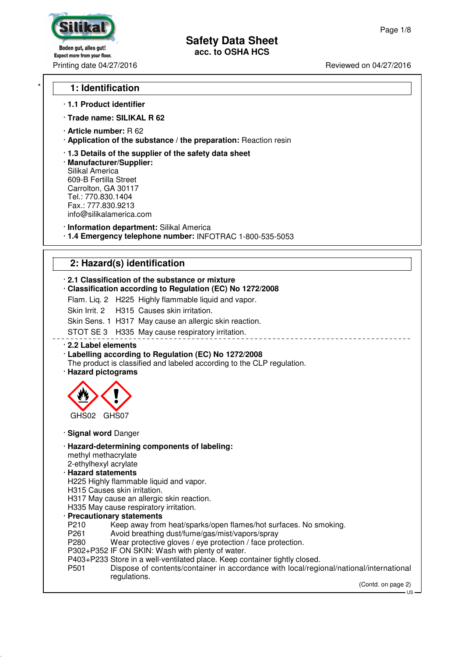# Boden gut, alles gut! **Expect more from your floor.**

## **Safety Data Sheet acc. to OSHA HCS**

Printing date 04/27/2016 **Reviewed on 04/27/2016** Reviewed on 04/27/2016

## \* **1: Identification**

#### · **1.1 Product identifier**

- · **Trade name: SILIKAL R 62**
- · **Article number:** R 62
- · **Application of the substance / the preparation:** Reaction resin
- · **1.3 Details of the supplier of the safety data sheet**
- · **Manufacturer/Supplier:** Silikal America 609-B Fertilla Street Carrolton, GA 30117 Tel.: 770.830.1404 Fax.: 777.830.9213 info@silikalamerica.com
- · **Information department:** Silikal America
- · **1.4 Emergency telephone number:** INFOTRAC 1-800-535-5053

## **2: Hazard(s) identification**

#### · **2.1 Classification of the substance or mixture**

- · **Classification according to Regulation (EC) No 1272/2008**
- Flam. Liq. 2 H225 Highly flammable liquid and vapor.
- Skin Irrit. 2 H315 Causes skin irritation.
- Skin Sens. 1 H317 May cause an allergic skin reaction.

STOT SE 3 H335 May cause respiratory irritation.

#### · **2.2 Label elements**

## · **Labelling according to Regulation (EC) No 1272/2008**

The product is classified and labeled according to the CLP regulation. · **Hazard pictograms**



#### · **Signal word** Danger

· **Hazard-determining components of labeling:**

methyl methacrylate

## 2-ethylhexyl acrylate

- · **Hazard statements**
- H225 Highly flammable liquid and vapor.

## H315 Causes skin irritation.

- H317 May cause an allergic skin reaction.
- H335 May cause respiratory irritation.

## · **Precautionary statements**

- P210 Keep away from heat/sparks/open flames/hot surfaces. No smoking.<br>P261 Avoid breathing dust/fume/gas/mist/vapors/spray
- Avoid breathing dust/fume/gas/mist/vapors/spray
- P280 Wear protective gloves / eye protection / face protection.
- P302+P352 IF ON SKIN: Wash with plenty of water.
- P403+P233 Store in a well-ventilated place. Keep container tightly closed.
- P501 Dispose of contents/container in accordance with local/regional/national/international regulations.

<u> - - - - - - - - - - -</u>

(Contd. on page 2)

US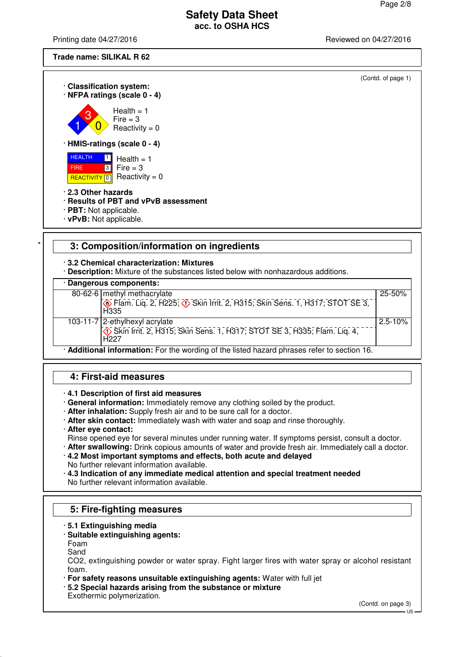Printing date 04/27/2016 **Printing date 04/27/2016** Reviewed on 04/27/2016

**Trade name: SILIKAL R 62**



|                                                                                           | 80-62-6 methyl methacrylate                                                                        | 25-50%       |  |
|-------------------------------------------------------------------------------------------|----------------------------------------------------------------------------------------------------|--------------|--|
|                                                                                           | <b>&amp; Flam. Lig. 2, H225; &amp; Skin Irrit. 2, H315; Skin Sens. 1, H317; STOT SE 3,</b><br>H335 |              |  |
|                                                                                           | 103-11-7 2-ethylhexyl acrylate                                                                     | $2.5 - 10\%$ |  |
|                                                                                           | H <sub>227</sub>                                                                                   |              |  |
| Additional information: For the wording of the listed hazard phrases refer to section 16. |                                                                                                    |              |  |

## **4: First-aid measures**

## · **4.1 Description of first aid measures**

- · **General information:** Immediately remove any clothing soiled by the product.
- · **After inhalation:** Supply fresh air and to be sure call for a doctor.
- · **After skin contact:** Immediately wash with water and soap and rinse thoroughly.
- · **After eye contact:**

Rinse opened eye for several minutes under running water. If symptoms persist, consult a doctor.

· **After swallowing:** Drink copious amounts of water and provide fresh air. Immediately call a doctor.

· **4.2 Most important symptoms and effects, both acute and delayed** No further relevant information available.

· **4.3 Indication of any immediate medical attention and special treatment needed** No further relevant information available.

## **5: Fire-fighting measures**

- · **5.1 Extinguishing media**
- · **Suitable extinguishing agents:**
- Foam
- Sand

CO2, extinguishing powder or water spray. Fight larger fires with water spray or alcohol resistant foam.

· **For safety reasons unsuitable extinguishing agents:** Water with full jet

· **5.2 Special hazards arising from the substance or mixture**

Exothermic polymerization.

(Contd. on page 3)

US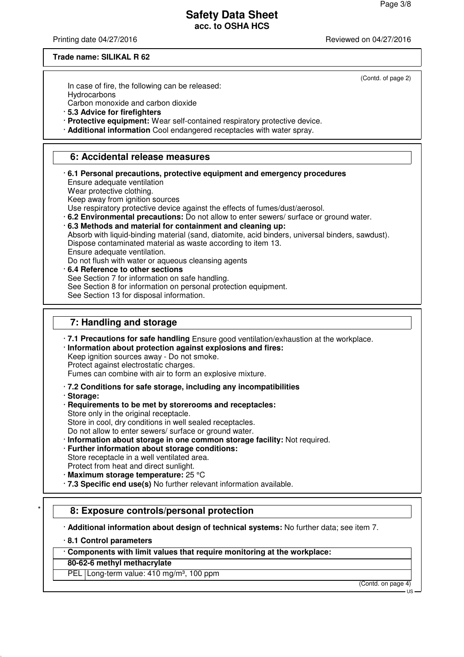Printing date 04/27/2016 **Printing date 04/27/2016** Reviewed on 04/27/2016

#### **Trade name: SILIKAL R 62**

(Contd. of page 2)

In case of fire, the following can be released:

**Hydrocarbons** 

Carbon monoxide and carbon dioxide

· **5.3 Advice for firefighters**

· **Protective equipment:** Wear self-contained respiratory protective device.

· **Additional information** Cool endangered receptacles with water spray.

## **6: Accidental release measures**

· **6.1 Personal precautions, protective equipment and emergency procedures** Ensure adequate ventilation Wear protective clothing. Keep away from ignition sources Use respiratory protective device against the effects of fumes/dust/aerosol. · **6.2 Environmental precautions:** Do not allow to enter sewers/ surface or ground water. · **6.3 Methods and material for containment and cleaning up:** Absorb with liquid-binding material (sand, diatomite, acid binders, universal binders, sawdust). Dispose contaminated material as waste according to item 13. Ensure adequate ventilation. Do not flush with water or aqueous cleansing agents · **6.4 Reference to other sections** See Section 7 for information on safe handling. See Section 8 for information on personal protection equipment. See Section 13 for disposal information.  **7: Handling and storage**

· **7.1 Precautions for safe handling** Ensure good ventilation/exhaustion at the workplace.

· **Information about protection against explosions and fires:**

Keep ignition sources away - Do not smoke.

Protect against electrostatic charges.

Fumes can combine with air to form an explosive mixture.

· **7.2 Conditions for safe storage, including any incompatibilities**

· **Storage:**

· **Requirements to be met by storerooms and receptacles:**

Store only in the original receptacle.

Store in cool, dry conditions in well sealed receptacles.

Do not allow to enter sewers/ surface or ground water.

- · **Information about storage in one common storage facility:** Not required.
- · **Further information about storage conditions:**

Store receptacle in a well ventilated area. Protect from heat and direct sunlight.

- · **Maximum storage temperature:** 25 °C
- · **7.3 Specific end use(s)** No further relevant information available.

## \* **8: Exposure controls/personal protection**

· **Additional information about design of technical systems:** No further data; see item 7.

· **8.1 Control parameters**

· **Components with limit values that require monitoring at the workplace:**

#### **80-62-6 methyl methacrylate**

PEL Long-term value: 410 mg/m<sup>3</sup>, 100 ppm

(Contd. on page 4)

US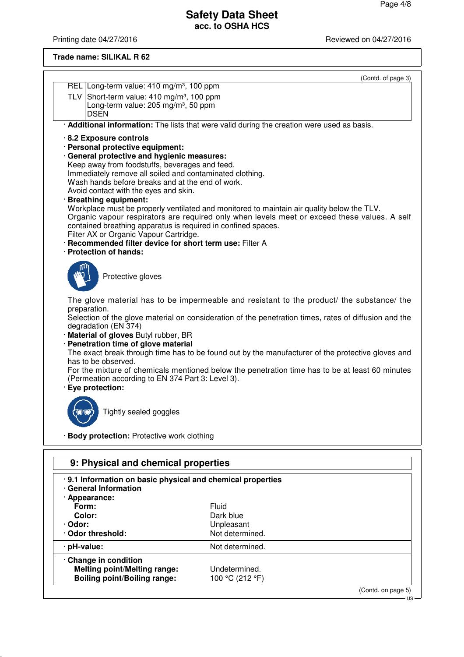Printing date 04/27/2016 **Printing date 04/27/2016** 

## **Trade name: SILIKAL R 62**

|                                                                                                   | (Contd. of page 3)                                                                                                     |  |  |  |  |  |
|---------------------------------------------------------------------------------------------------|------------------------------------------------------------------------------------------------------------------------|--|--|--|--|--|
| REL Long-term value: 410 mg/m <sup>3</sup> , 100 ppm                                              |                                                                                                                        |  |  |  |  |  |
| TLV Short-term value: $410 \text{ mg/m}^3$ , 100 ppm                                              |                                                                                                                        |  |  |  |  |  |
| Long-term value: 205 mg/m <sup>3</sup> , 50 ppm<br><b>DSEN</b>                                    |                                                                                                                        |  |  |  |  |  |
|                                                                                                   | · Additional information: The lists that were valid during the creation were used as basis.                            |  |  |  |  |  |
| 8.2 Exposure controls                                                                             |                                                                                                                        |  |  |  |  |  |
| · Personal protective equipment:                                                                  |                                                                                                                        |  |  |  |  |  |
| · General protective and hygienic measures:                                                       |                                                                                                                        |  |  |  |  |  |
| Keep away from foodstuffs, beverages and feed.                                                    |                                                                                                                        |  |  |  |  |  |
|                                                                                                   | Immediately remove all soiled and contaminated clothing.<br>Wash hands before breaks and at the end of work.           |  |  |  |  |  |
| Avoid contact with the eyes and skin.                                                             |                                                                                                                        |  |  |  |  |  |
| · Breathing equipment:                                                                            |                                                                                                                        |  |  |  |  |  |
|                                                                                                   | Workplace must be properly ventilated and monitored to maintain air quality below the TLV.                             |  |  |  |  |  |
| contained breathing apparatus is required in confined spaces.                                     | Organic vapour respirators are required only when levels meet or exceed these values. A self                           |  |  |  |  |  |
| Filter AX or Organic Vapour Cartridge.                                                            |                                                                                                                        |  |  |  |  |  |
| · Recommended filter device for short term use: Filter A                                          |                                                                                                                        |  |  |  |  |  |
| · Protection of hands:                                                                            |                                                                                                                        |  |  |  |  |  |
|                                                                                                   |                                                                                                                        |  |  |  |  |  |
| Protective gloves                                                                                 |                                                                                                                        |  |  |  |  |  |
|                                                                                                   |                                                                                                                        |  |  |  |  |  |
|                                                                                                   | The glove material has to be impermeable and resistant to the product/ the substance/ the                              |  |  |  |  |  |
| preparation.                                                                                      |                                                                                                                        |  |  |  |  |  |
| degradation (EN 374)                                                                              | Selection of the glove material on consideration of the penetration times, rates of diffusion and the                  |  |  |  |  |  |
| · Material of gloves Butyl rubber, BR                                                             |                                                                                                                        |  |  |  |  |  |
| · Penetration time of glove material                                                              |                                                                                                                        |  |  |  |  |  |
| The exact break through time has to be found out by the manufacturer of the protective gloves and |                                                                                                                        |  |  |  |  |  |
|                                                                                                   | has to be observed.<br>For the mixture of chemicals mentioned below the penetration time has to be at least 60 minutes |  |  |  |  |  |
| (Permeation according to EN 374 Part 3: Level 3).                                                 |                                                                                                                        |  |  |  |  |  |
| · Eye protection:                                                                                 |                                                                                                                        |  |  |  |  |  |
|                                                                                                   |                                                                                                                        |  |  |  |  |  |
| Tightly sealed goggles                                                                            |                                                                                                                        |  |  |  |  |  |
|                                                                                                   |                                                                                                                        |  |  |  |  |  |
| · Body protection: Protective work clothing                                                       |                                                                                                                        |  |  |  |  |  |
|                                                                                                   |                                                                                                                        |  |  |  |  |  |
|                                                                                                   |                                                                                                                        |  |  |  |  |  |
| 9: Physical and chemical properties                                                               |                                                                                                                        |  |  |  |  |  |
| .9.1 Information on basic physical and chemical properties                                        |                                                                                                                        |  |  |  |  |  |
| <b>General Information</b>                                                                        |                                                                                                                        |  |  |  |  |  |
| · Appearance:<br>Form:                                                                            | Fluid                                                                                                                  |  |  |  |  |  |
| Color:                                                                                            | Dark blue                                                                                                              |  |  |  |  |  |
| Odor:                                                                                             | Unpleasant                                                                                                             |  |  |  |  |  |
| Odor threshold:                                                                                   | Not determined.                                                                                                        |  |  |  |  |  |
| · pH-value:                                                                                       | Not determined.                                                                                                        |  |  |  |  |  |
| Change in condition                                                                               |                                                                                                                        |  |  |  |  |  |
| <b>Melting point/Melting range:</b>                                                               | Undetermined.                                                                                                          |  |  |  |  |  |
| <b>Boiling point/Boiling range:</b>                                                               | 100 °C (212 °F)                                                                                                        |  |  |  |  |  |

(Contd. on page 5) - us-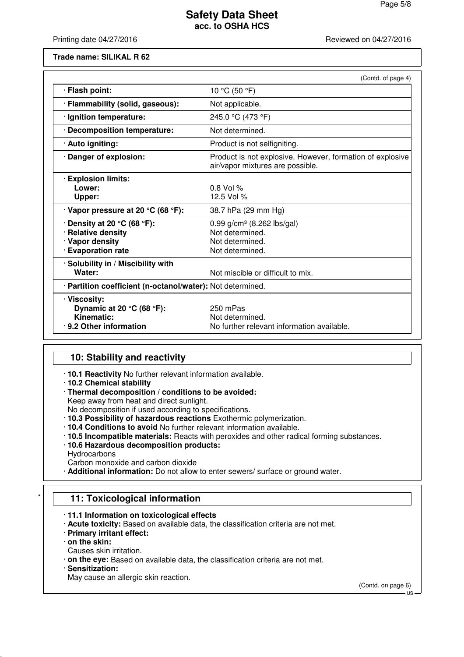Printing date 04/27/2016 **Reviewed on 04/27/2016** 

**Trade name: SILIKAL R 62**

|                                                                                                  | (Contd. of page 4)                                                                            |  |
|--------------------------------------------------------------------------------------------------|-----------------------------------------------------------------------------------------------|--|
| · Flash point:                                                                                   | 10 °C (50 °F)                                                                                 |  |
| · Flammability (solid, gaseous):                                                                 | Not applicable.                                                                               |  |
| · Ignition temperature:                                                                          | 245.0 °C (473 °F)                                                                             |  |
| · Decomposition temperature:                                                                     | Not determined.                                                                               |  |
| · Auto igniting:                                                                                 | Product is not selfigniting.                                                                  |  |
| · Danger of explosion:                                                                           | Product is not explosive. However, formation of explosive<br>air/vapor mixtures are possible. |  |
| <b>Explosion limits:</b><br>Lower:<br>Upper:                                                     | $0.8$ Vol %<br>12.5 Vol %                                                                     |  |
| $\cdot$ Vapor pressure at 20 °C (68 °F):                                                         | 38.7 hPa (29 mm Hg)                                                                           |  |
| $\cdot$ Density at 20 °C (68 °F):<br>· Relative density<br>· Vapor density<br>· Evaporation rate | 0.99 $g/cm^3$ (8.262 lbs/gal)<br>Not determined.<br>Not determined.<br>Not determined.        |  |
| · Solubility in / Miscibility with<br>Water:                                                     | Not miscible or difficult to mix.                                                             |  |
| · Partition coefficient (n-octanol/water): Not determined.                                       |                                                                                               |  |
| · Viscosity:<br>Dynamic at 20 °C (68 °F):<br>Kinematic:<br>.9.2 Other information                | 250 mPas<br>Not determined.<br>No further relevant information available.                     |  |

## **10: Stability and reactivity**

- · **10.1 Reactivity** No further relevant information available.
- · **10.2 Chemical stability**
- · **Thermal decomposition / conditions to be avoided:** Keep away from heat and direct sunlight.

No decomposition if used according to specifications.

- · **10.3 Possibility of hazardous reactions** Exothermic polymerization.
- · **10.4 Conditions to avoid** No further relevant information available.
- · **10.5 Incompatible materials:** Reacts with peroxides and other radical forming substances.
- · **10.6 Hazardous decomposition products:**
- Hydrocarbons

Carbon monoxide and carbon dioxide

· **Additional information:** Do not allow to enter sewers/ surface or ground water.

## **11: Toxicological information**

## · **11.1 Information on toxicological effects**

- · **Acute toxicity:** Based on available data, the classification criteria are not met.
- · **Primary irritant effect:**
- · **on the skin:**
- Causes skin irritation.
- · **on the eye:** Based on available data, the classification criteria are not met.
- · **Sensitization:**
- May cause an allergic skin reaction.

(Contd. on page 6)

US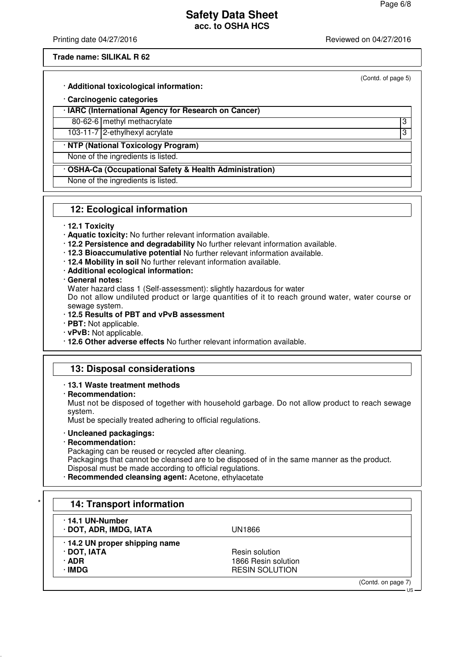(Contd. of page 5)

## **Safety Data Sheet acc. to OSHA HCS**

Printing date 04/27/2016 **Printing date 04/27/2016** Reviewed on 04/27/2016

#### **Trade name: SILIKAL R 62**

· **Additional toxicological information:**

## · **Carcinogenic categories**

#### · **IARC (International Agency for Research on Cancer)**

80-62-6 methyl methacrylate 3

103-11-7 2-ethylhexyl acrylate 3

## · **NTP (National Toxicology Program)**

None of the ingredients is listed.

· **OSHA-Ca (Occupational Safety & Health Administration)**

None of the ingredients is listed.

## **12: Ecological information**

#### · **12.1 Toxicity**

- · **Aquatic toxicity:** No further relevant information available.
- · **12.2 Persistence and degradability** No further relevant information available.
- · **12.3 Bioaccumulative potential** No further relevant information available.
- · **12.4 Mobility in soil** No further relevant information available.
- · **Additional ecological information:**
- · **General notes:**

Water hazard class 1 (Self-assessment): slightly hazardous for water

Do not allow undiluted product or large quantities of it to reach ground water, water course or sewage system.

- · **12.5 Results of PBT and vPvB assessment**
- · **PBT:** Not applicable.
- · **vPvB:** Not applicable.
- · **12.6 Other adverse effects** No further relevant information available.

## **13: Disposal considerations**

- · **13.1 Waste treatment methods**
- · **Recommendation:**

Must not be disposed of together with household garbage. Do not allow product to reach sewage system.

Must be specially treated adhering to official regulations.

· **Uncleaned packagings:**

## · **Recommendation:**

Packaging can be reused or recycled after cleaning.

Packagings that cannot be cleansed are to be disposed of in the same manner as the product. Disposal must be made according to official regulations.

· **Recommended cleansing agent:** Acetone, ethylacetate

| $\cdot$ 14.1 UN-Number         |                       |  |
|--------------------------------|-----------------------|--|
| · DOT, ADR, IMDG, IATA         | UN1866                |  |
| · 14.2 UN proper shipping name |                       |  |
| · DOT, IATA                    | Resin solution        |  |
| · ADR                          | 1866 Resin solution   |  |
| ∙IMDG                          | <b>RESIN SOLUTION</b> |  |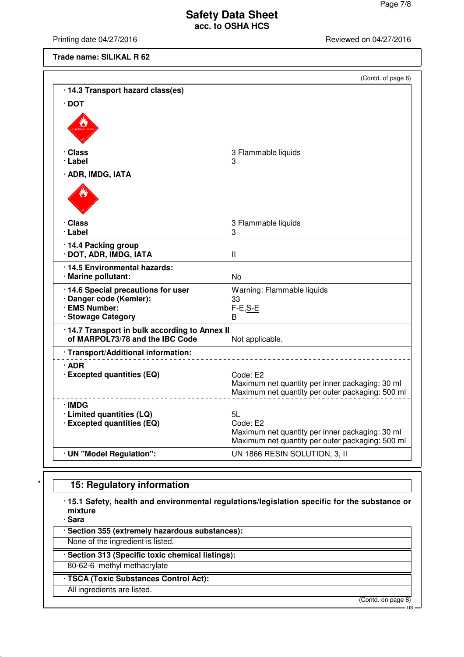Printing date 04/27/2016 **Printing date 04/27/2016** 

**Trade name: SILIKAL R 62**

|                                              | (Contd. of page 6)                                                                                              |
|----------------------------------------------|-----------------------------------------------------------------------------------------------------------------|
| · 14.3 Transport hazard class(es)            |                                                                                                                 |
| $\cdot$ DOT                                  |                                                                                                                 |
|                                              |                                                                                                                 |
| · Class                                      | 3 Flammable liquids                                                                                             |
| ∙ Label                                      | 3                                                                                                               |
| · ADR, IMDG, IATA                            |                                                                                                                 |
|                                              |                                                                                                                 |
| · Class<br>∙ Label                           | 3 Flammable liquids<br>3                                                                                        |
|                                              |                                                                                                                 |
| 14.4 Packing group<br>· DOT, ADR, IMDG, IATA | $\mathbf{I}$                                                                                                    |
| · 14.5 Environmental hazards:                |                                                                                                                 |
| · Marine pollutant:                          | No                                                                                                              |
| 14.6 Special precautions for user            | Warning: Flammable liquids                                                                                      |
| · Danger code (Kemler):<br>· EMS Number:     | 33<br>$F-E, S-E$                                                                                                |
| · Stowage Category                           | В                                                                                                               |
| 14.7 Transport in bulk according to Annex II |                                                                                                                 |
| of MARPOL73/78 and the IBC Code              | Not applicable.                                                                                                 |
| · Transport/Additional information:          |                                                                                                                 |
| · ADR                                        |                                                                                                                 |
| · Excepted quantities (EQ)                   | Code: E2<br>Maximum net quantity per inner packaging: 30 ml<br>Maximum net quantity per outer packaging: 500 ml |
| ∙IMDG                                        |                                                                                                                 |
| · Limited quantities (LQ)                    | 5L                                                                                                              |
| · Excepted quantities (EQ)                   | Code: E2<br>Maximum net quantity per inner packaging: 30 ml                                                     |
|                                              | Maximum net quantity per outer packaging: 500 ml                                                                |
| · UN "Model Regulation":                     | UN 1866 RESIN SOLUTION, 3, II                                                                                   |

## **15: Regulatory information**

· **15.1 Safety, health and environmental regulations/legislation specific for the substance or mixture**

· **Sara**

· **Section 355 (extremely hazardous substances):**

None of the ingredient is listed.

· **Section 313 (Specific toxic chemical listings):**

80-62-6 methyl methacrylate

· **TSCA (Toxic Substances Control Act):**

All ingredients are listed.

(Contd. on page 8)